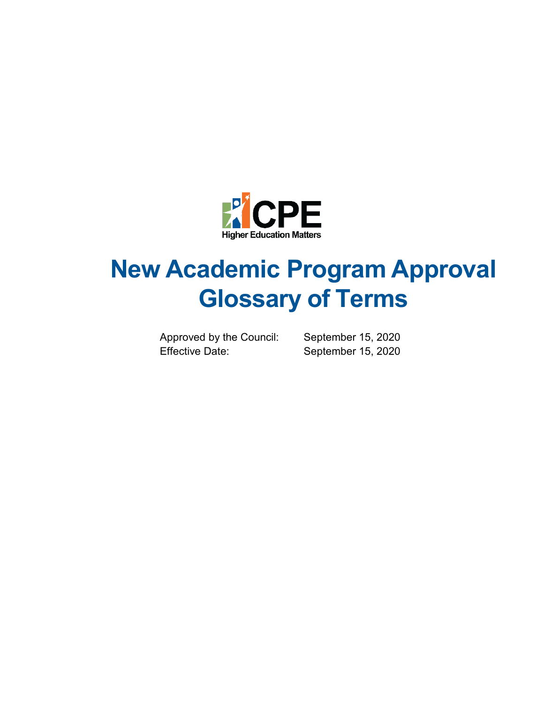

# **New Academic Program Approval Glossary of Terms**

Approved by the Council: September 15, 2020 Effective Date: September 15, 2020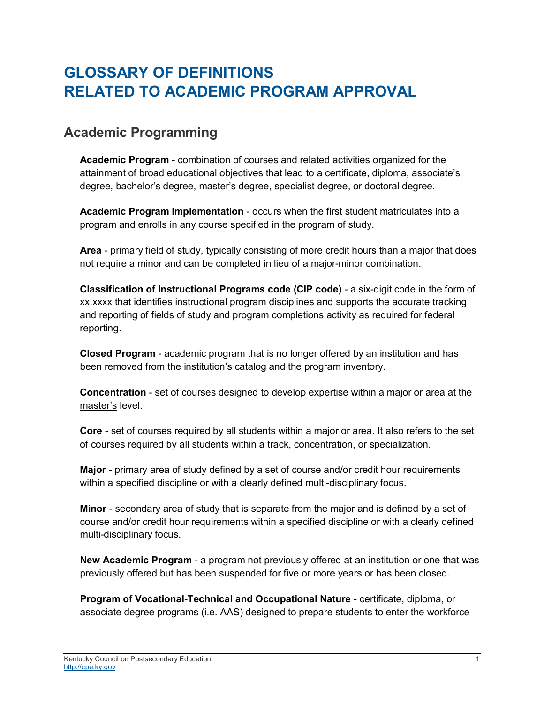## **GLOSSARY OF DEFINITIONS RELATED TO ACADEMIC PROGRAM APPROVAL**

#### **Academic Programming**

**Academic Program** - combination of courses and related activities organized for the attainment of broad educational objectives that lead to a certificate, diploma, associate's degree, bachelor's degree, master's degree, specialist degree, or doctoral degree.

**Academic Program Implementation** - occurs when the first student matriculates into a program and enrolls in any course specified in the program of study.

**Area** - primary field of study, typically consisting of more credit hours than a major that does not require a minor and can be completed in lieu of a major-minor combination.

**Classification of Instructional Programs code (CIP code)** - a six-digit code in the form of xx.xxxx that identifies instructional program disciplines and supports the accurate tracking and reporting of fields of study and program completions activity as required for federal reporting.

**Closed Program** - academic program that is no longer offered by an institution and has been removed from the institution's catalog and the program inventory.

**Concentration** - set of courses designed to develop expertise within a major or area at the master's level.

**Core** - set of courses required by all students within a major or area. It also refers to the set of courses required by all students within a track, concentration, or specialization.

**Major** - primary area of study defined by a set of course and/or credit hour requirements within a specified discipline or with a clearly defined multi-disciplinary focus.

**Minor** - secondary area of study that is separate from the major and is defined by a set of course and/or credit hour requirements within a specified discipline or with a clearly defined multi-disciplinary focus.

**New Academic Program** - a program not previously offered at an institution or one that was previously offered but has been suspended for five or more years or has been closed.

**Program of Vocational-Technical and Occupational Nature** - certificate, diploma, or associate degree programs (i.e. AAS) designed to prepare students to enter the workforce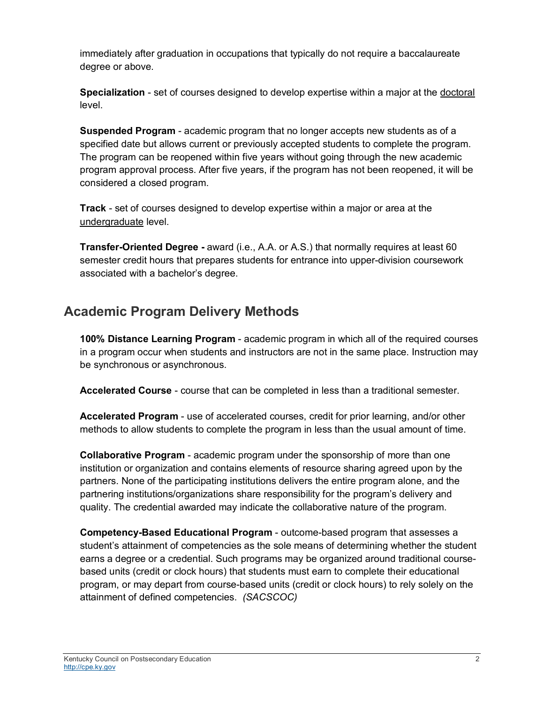immediately after graduation in occupations that typically do not require a baccalaureate degree or above.

**Specialization** - set of courses designed to develop expertise within a major at the doctoral level.

**Suspended Program** - academic program that no longer accepts new students as of a specified date but allows current or previously accepted students to complete the program. The program can be reopened within five years without going through the new academic program approval process. After five years, if the program has not been reopened, it will be considered a closed program.

**Track** - set of courses designed to develop expertise within a major or area at the undergraduate level.

**Transfer-Oriented Degree -** award (i.e., A.A. or A.S.) that normally requires at least 60 semester credit hours that prepares students for entrance into upper-division coursework associated with a bachelor's degree.

### **Academic Program Delivery Methods**

**100% Distance Learning Program** - academic program in which all of the required courses in a program occur when students and instructors are not in the same place. Instruction may be synchronous or asynchronous.

**Accelerated Course** - course that can be completed in less than a traditional semester.

**Accelerated Program** - use of accelerated courses, credit for prior learning, and/or other methods to allow students to complete the program in less than the usual amount of time.

**Collaborative Program** - academic program under the sponsorship of more than one institution or organization and contains elements of resource sharing agreed upon by the partners. None of the participating institutions delivers the entire program alone, and the partnering institutions/organizations share responsibility for the program's delivery and quality. The credential awarded may indicate the collaborative nature of the program.

**Competency-Based Educational Program** - outcome-based program that assesses a student's attainment of competencies as the sole means of determining whether the student earns a degree or a credential. Such programs may be organized around traditional coursebased units (credit or clock hours) that students must earn to complete their educational program, or may depart from course-based units (credit or clock hours) to rely solely on the attainment of defined competencies. *(SACSCOC)*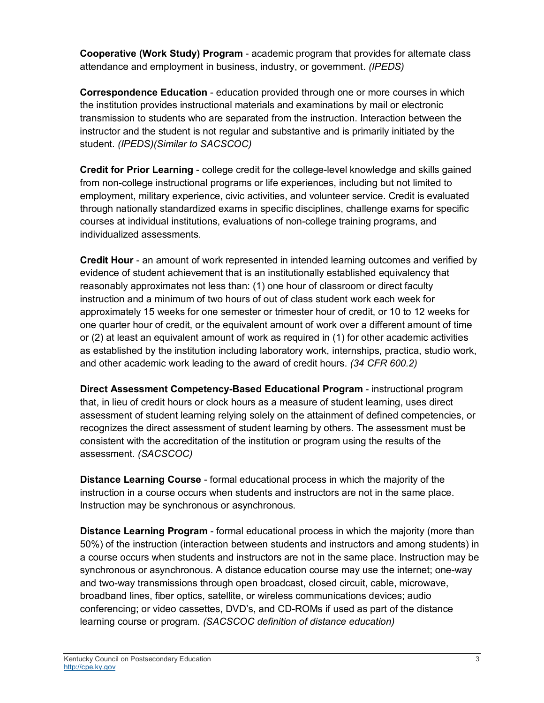**Cooperative (Work Study) Program** - academic program that provides for alternate class attendance and employment in business, industry, or government. *(IPEDS)*

**Correspondence Education** - education provided through one or more courses in which the institution provides instructional materials and examinations by mail or electronic transmission to students who are separated from the instruction. Interaction between the instructor and the student is not regular and substantive and is primarily initiated by the student. *(IPEDS)(Similar to SACSCOC)*

**Credit for Prior Learning** - college credit for the college-level knowledge and skills gained from non-college instructional programs or life experiences, including but not limited to employment, military experience, civic activities, and volunteer service. Credit is evaluated through nationally standardized exams in specific disciplines, challenge exams for specific courses at individual institutions, evaluations of non-college training programs, and individualized assessments.

**Credit Hour** - an amount of work represented in intended learning outcomes and verified by evidence of student achievement that is an institutionally established equivalency that reasonably approximates not less than: (1) one hour of classroom or direct faculty instruction and a minimum of two hours of out of class student work each week for approximately 15 weeks for one semester or trimester hour of credit, or 10 to 12 weeks for one quarter hour of credit, or the equivalent amount of work over a different amount of time or (2) at least an equivalent amount of work as required in (1) for other academic activities as established by the institution including laboratory work, internships, practica, studio work, and other academic work leading to the award of credit hours. *(34 CFR 600.2)*

**Direct Assessment Competency-Based Educational Program** - instructional program that, in lieu of credit hours or clock hours as a measure of student learning, uses direct assessment of student learning relying solely on the attainment of defined competencies, or recognizes the direct assessment of student learning by others. The assessment must be consistent with the accreditation of the institution or program using the results of the assessment. *(SACSCOC)*

**Distance Learning Course** - formal educational process in which the majority of the instruction in a course occurs when students and instructors are not in the same place. Instruction may be synchronous or asynchronous.

**Distance Learning Program** - formal educational process in which the majority (more than 50%) of the instruction (interaction between students and instructors and among students) in a course occurs when students and instructors are not in the same place. Instruction may be synchronous or asynchronous. A distance education course may use the internet; one-way and two-way transmissions through open broadcast, closed circuit, cable, microwave, broadband lines, fiber optics, satellite, or wireless communications devices; audio conferencing; or video cassettes, DVD's, and CD-ROMs if used as part of the distance learning course or program. *(SACSCOC definition of distance education)*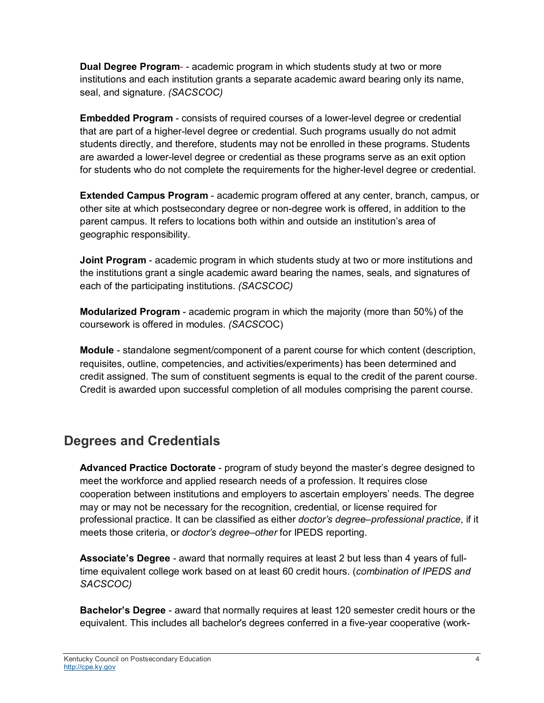**Dual Degree Program**- - academic program in which students study at two or more institutions and each institution grants a separate academic award bearing only its name, seal, and signature. *(SACSCOC)*

**Embedded Program** - consists of required courses of a lower-level degree or credential that are part of a higher-level degree or credential. Such programs usually do not admit students directly, and therefore, students may not be enrolled in these programs. Students are awarded a lower-level degree or credential as these programs serve as an exit option for students who do not complete the requirements for the higher-level degree or credential.

**Extended Campus Program** - academic program offered at any center, branch, campus, or other site at which postsecondary degree or non-degree work is offered, in addition to the parent campus. It refers to locations both within and outside an institution's area of geographic responsibility.

**Joint Program** - academic program in which students study at two or more institutions and the institutions grant a single academic award bearing the names, seals, and signatures of each of the participating institutions. *(SACSCOC)*

**Modularized Program** - academic program in which the majority (more than 50%) of the coursework is offered in modules. *(SACSC*OC)

**Module** - standalone segment/component of a parent course for which content (description, requisites, outline, competencies, and activities/experiments) has been determined and credit assigned. The sum of constituent segments is equal to the credit of the parent course. Credit is awarded upon successful completion of all modules comprising the parent course.

#### **Degrees and Credentials**

**Advanced Practice Doctorate** - program of study beyond the master's degree designed to meet the workforce and applied research needs of a profession. It requires close cooperation between institutions and employers to ascertain employers' needs. The degree may or may not be necessary for the recognition, credential, or license required for professional practice. It can be classified as either *doctor's degree–professional practice*, if it meets those criteria, or *doctor's degree–other* for IPEDS reporting.

**Associate's Degree** - award that normally requires at least 2 but less than 4 years of fulltime equivalent college work based on at least 60 credit hours. (*combination of IPEDS and SACSCOC)*

**Bachelor's Degree** - award that normally requires at least 120 semester credit hours or the equivalent. This includes all bachelor's degrees conferred in a five-year cooperative (work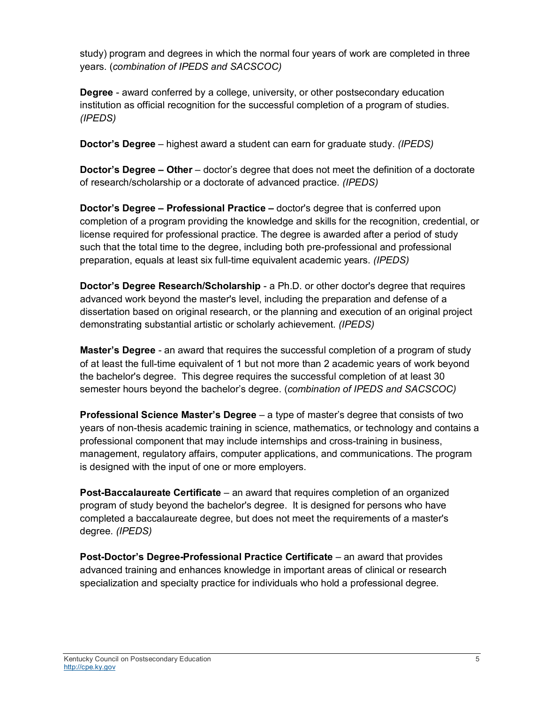study) program and degrees in which the normal four years of work are completed in three years. (*combination of IPEDS and SACSCOC)*

**Degree** - award conferred by a college, university, or other postsecondary education institution as official recognition for the successful completion of a program of studies. *(IPEDS)*

**Doctor's Degree** – highest award a student can earn for graduate study. *(IPEDS)*

**Doctor's Degree – Other** – doctor's degree that does not meet the definition of a doctorate of research/scholarship or a doctorate of advanced practice. *(IPEDS)*

**Doctor's Degree – Professional Practice –** doctor's degree that is conferred upon completion of a program providing the knowledge and skills for the recognition, credential, or license required for professional practice. The degree is awarded after a period of study such that the total time to the degree, including both pre-professional and professional preparation, equals at least six full-time equivalent academic years. *(IPEDS)*

**Doctor's Degree Research/Scholarship** - a Ph.D. or other doctor's degree that requires advanced work beyond the master's level, including the preparation and defense of a dissertation based on original research, or the planning and execution of an original project demonstrating substantial artistic or scholarly achievement. *(IPEDS)*

**Master's Degree** - an award that requires the successful completion of a program of study of at least the full-time equivalent of 1 but not more than 2 academic years of work beyond the bachelor's degree. This degree requires the successful completion of at least 30 semester hours beyond the bachelor's degree. (*combination of IPEDS and SACSCOC)*

**Professional Science Master's Degree** – a type of master's degree that consists of two years of non-thesis academic training in science, mathematics, or technology and contains a professional component that may include internships and cross-training in business, management, regulatory affairs, computer applications, and communications. The program is designed with the input of one or more employers.

**Post-Baccalaureate Certificate** – an award that requires completion of an organized program of study beyond the bachelor's degree. It is designed for persons who have completed a baccalaureate degree, but does not meet the requirements of a master's degree. *(IPEDS)*

**Post-Doctor's Degree-Professional Practice Certificate** – an award that provides advanced training and enhances knowledge in important areas of clinical or research specialization and specialty practice for individuals who hold a professional degree.